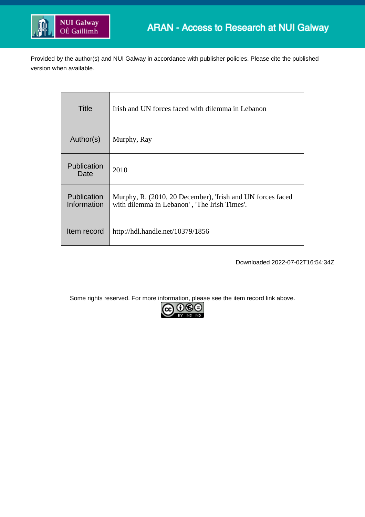

Provided by the author(s) and NUI Galway in accordance with publisher policies. Please cite the published version when available.

| Title                             | Irish and UN forces faced with dilemma in Lebanon                                                          |
|-----------------------------------|------------------------------------------------------------------------------------------------------------|
| Author(s)                         | Murphy, Ray                                                                                                |
| Publication<br>Date               | 2010                                                                                                       |
| <b>Publication</b><br>Information | Murphy, R. (2010, 20 December), 'Irish and UN forces faced<br>with dilemma in Lebanon', 'The Irish Times'. |
| Item record                       | http://hdl.handle.net/10379/1856                                                                           |

Downloaded 2022-07-02T16:54:34Z

Some rights reserved. For more information, please see the item record link above.

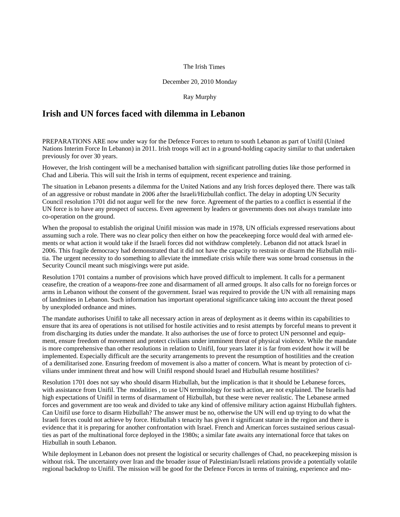## The Irish Times

## December 20, 2010 Monday

## Ray Murphy

## **Irish and UN forces faced with dilemma in Lebanon**

PREPARATIONS ARE now under way for the Defence Forces to return to south Lebanon as part of Unifil (United Nations Interim Force In Lebanon) in 2011. Irish troops will act in a ground-holding capacity similar to that undertaken previously for over 30 years.

However, the Irish contingent will be a mechanised battalion with significant patrolling duties like those performed in Chad and Liberia. This will suit the Irish in terms of equipment, recent experience and training.

The situation in Lebanon presents a dilemma for the United Nations and any Irish forces deployed there. There was talk of an aggressive or robust mandate in 2006 after the Israeli/Hizbullah conflict. The delay in adopting UN Security Council resolution 1701 did not augur well for the new force. Agreement of the parties to a conflict is essential if the UN force is to have any prospect of success. Even agreement by leaders or governments does not always translate into co-operation on the ground.

When the proposal to establish the original Unifil mission was made in 1978, UN officials expressed reservations about assuming such a role. There was no clear policy then either on how the peacekeeping force would deal with armed elements or what action it would take if the Israeli forces did not withdraw completely. Lebanon did not attack Israel in 2006. This fragile democracy had demonstrated that it did not have the capacity to restrain or disarm the Hizbullah militia. The urgent necessity to do something to alleviate the immediate crisis while there was some broad consensus in the Security Council meant such misgivings were put aside.

Resolution 1701 contains a number of provisions which have proved difficult to implement. It calls for a permanent ceasefire, the creation of a weapons-free zone and disarmament of all armed groups. It also calls for no foreign forces or arms in Lebanon without the consent of the government. Israel was required to provide the UN with all remaining maps of landmines in Lebanon. Such information has important operational significance taking into account the threat posed by unexploded ordnance and mines.

The mandate authorises Unifil to take all necessary action in areas of deployment as it deems within its capabilities to ensure that its area of operations is not utilised for hostile activities and to resist attempts by forceful means to prevent it from discharging its duties under the mandate. It also authorises the use of force to protect UN personnel and equipment, ensure freedom of movement and protect civilians under imminent threat of physical violence. While the mandate is more comprehensive than other resolutions in relation to Unifil, four years later it is far from evident how it will be implemented. Especially difficult are the security arrangements to prevent the resumption of hostilities and the creation of a demilitarised zone. Ensuring freedom of movement is also a matter of concern. What is meant by protection of civilians under imminent threat and how will Unifil respond should Israel and Hizbullah resume hostilities?

Resolution 1701 does not say who should disarm Hizbullah, but the implication is that it should be Lebanese forces, with assistance from Unifil. The modalities , to use UN terminology for such action, are not explained. The Israelis had high expectations of Unifil in terms of disarmament of Hizbullah, but these were never realistic. The Lebanese armed forces and government are too weak and divided to take any kind of offensive military action against Hizbullah fighters. Can Unifil use force to disarm Hizbullah? The answer must be no, otherwise the UN will end up trying to do what the Israeli forces could not achieve by force. Hizbullah s tenacity has given it significant stature in the region and there is evidence that it is preparing for another confrontation with Israel. French and American forces sustained serious casualties as part of the multinational force deployed in the 1980s; a similar fate awaits any international force that takes on Hizbullah in south Lebanon.

While deployment in Lebanon does not present the logistical or security challenges of Chad, no peacekeeping mission is without risk. The uncertainty over Iran and the broader issue of Palestinian/Israeli relations provide a potentially volatile regional backdrop to Unifil. The mission will be good for the Defence Forces in terms of training, experience and mo